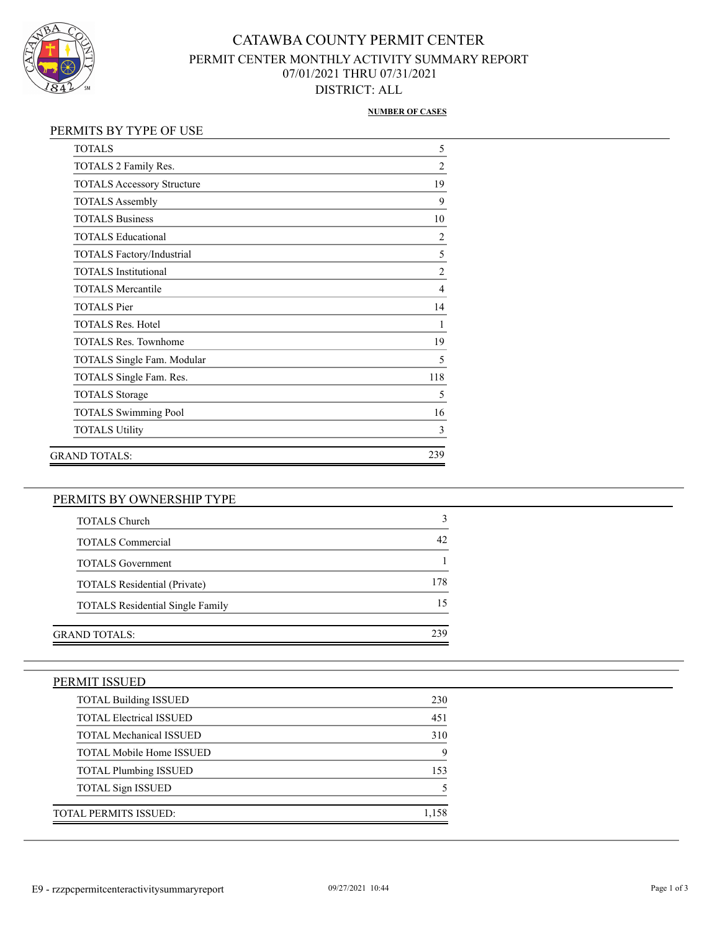

## CATAWBA COUNTY PERMIT CENTER PERMIT CENTER MONTHLY ACTIVITY SUMMARY REPORT 07/01/2021 THRU 07/31/2021 DISTRICT: ALL

#### **NUMBER OF CASES**

### PERMITS BY TYPE OF USE

| <b>TOTALS</b>                     | 5              |
|-----------------------------------|----------------|
| TOTALS 2 Family Res.              | $\overline{2}$ |
| <b>TOTALS Accessory Structure</b> | 19             |
| <b>TOTALS Assembly</b>            | 9              |
| <b>TOTALS Business</b>            | 10             |
| <b>TOTALS Educational</b>         | $\overline{2}$ |
| TOTALS Factory/Industrial         | 5              |
| <b>TOTALS</b> Institutional       | $\overline{2}$ |
| <b>TOTALS Mercantile</b>          | $\overline{4}$ |
| <b>TOTALS Pier</b>                | 14             |
| <b>TOTALS Res. Hotel</b>          | 1              |
| <b>TOTALS Res. Townhome</b>       | 19             |
| TOTALS Single Fam. Modular        | 5              |
| TOTALS Single Fam. Res.           | 118            |
| <b>TOTALS</b> Storage             | 5              |
| <b>TOTALS Swimming Pool</b>       | 16             |
| <b>TOTALS Utility</b>             | 3              |
| GRAND TOTALS:                     | 239            |

## PERMITS BY OWNERSHIP TYPE

| <b>TOTALS Church</b>                    |     |
|-----------------------------------------|-----|
| <b>TOTALS</b> Commercial                | 42  |
| <b>TOTALS</b> Government                |     |
| <b>TOTALS</b> Residential (Private)     | 178 |
| <b>TOTALS</b> Residential Single Family |     |
|                                         |     |
| GRAND TOTALS:                           | 239 |

| PERMIT ISSUED                   |       |
|---------------------------------|-------|
| <b>TOTAL Building ISSUED</b>    | 230   |
| <b>TOTAL Electrical ISSUED</b>  | 451   |
| <b>TOTAL Mechanical ISSUED</b>  | 310   |
| <b>TOTAL Mobile Home ISSUED</b> | 9     |
| <b>TOTAL Plumbing ISSUED</b>    | 153   |
| <b>TOTAL Sign ISSUED</b>        |       |
| <b>TOTAL PERMITS ISSUED:</b>    | 1.158 |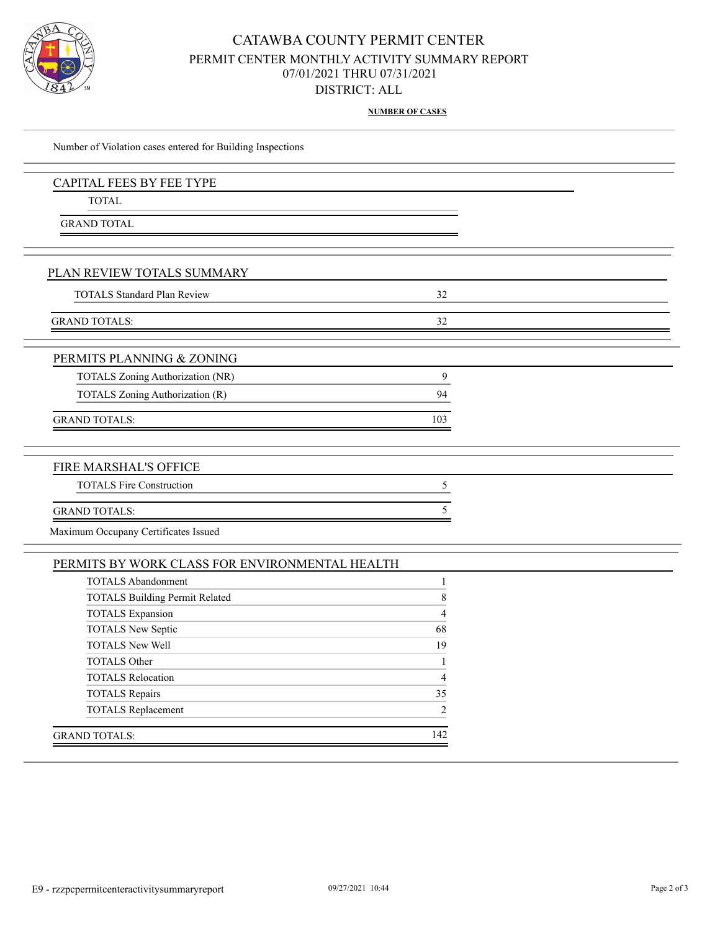

## CATAWBA COUNTY PERMIT CENTER PERMIT CENTER MONTHLY ACTIVITY SUMMARY REPORT 07/01/2021 THRU 07/31/2021 DISTRICT: ALL

**NUMBER OF CASES**

| Number of Violation cases entered for Building Inspections |              |  |
|------------------------------------------------------------|--------------|--|
| CAPITAL FEES BY FEE TYPE                                   |              |  |
| <b>TOTAL</b>                                               |              |  |
| <b>GRAND TOTAL</b>                                         |              |  |
|                                                            |              |  |
| PLAN REVIEW TOTALS SUMMARY                                 |              |  |
| <b>TOTALS Standard Plan Review</b>                         | 32           |  |
| <b>GRAND TOTALS:</b>                                       | 32           |  |
| PERMITS PLANNING & ZONING                                  |              |  |
| TOTALS Zoning Authorization (NR)                           | 9            |  |
| TOTALS Zoning Authorization (R)                            | 94           |  |
|                                                            |              |  |
| <b>GRAND TOTALS:</b>                                       | 103          |  |
|                                                            |              |  |
| FIRE MARSHAL'S OFFICE                                      |              |  |
| <b>TOTALS Fire Construction</b>                            | 5            |  |
| <b>GRAND TOTALS:</b>                                       | 5            |  |
| Maximum Occupany Certificates Issued                       |              |  |
| PERMITS BY WORK CLASS FOR ENVIRONMENTAL HEALTH             |              |  |
| <b>TOTALS Abandonment</b>                                  | $\mathbf{1}$ |  |
| <b>TOTALS Building Permit Related</b>                      | 8            |  |
| <b>TOTALS</b> Expansion                                    | 4            |  |
| <b>TOTALS New Septic</b>                                   | 68           |  |
| <b>TOTALS New Well</b>                                     | 19           |  |
| <b>TOTALS Other</b>                                        | $\mathbf{1}$ |  |

TOTALS Relocation 4 TOTALS Repairs 35 TOTALS Replacement 2

GRAND TOTALS: 142